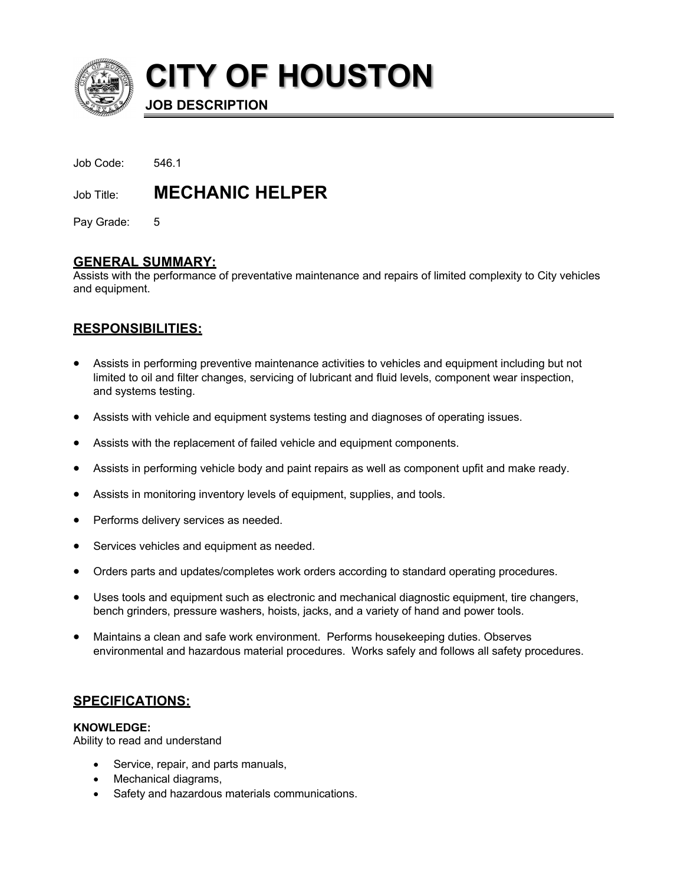

**CITY OF HOUSTON**

**JOB DESCRIPTION**

| Job Code: | 546.1 |
|-----------|-------|
|           |       |

Job Title: **MECHANIC HELPER**

Pay Grade: 5

# **GENERAL SUMMARY:**

Assists with the performance of preventative maintenance and repairs of limited complexity to City vehicles and equipment.

# **RESPONSIBILITIES:**

- Assists in performing preventive maintenance activities to vehicles and equipment including but not limited to oil and filter changes, servicing of lubricant and fluid levels, component wear inspection, and systems testing.
- Assists with vehicle and equipment systems testing and diagnoses of operating issues.
- Assists with the replacement of failed vehicle and equipment components.
- Assists in performing vehicle body and paint repairs as well as component upfit and make ready.
- Assists in monitoring inventory levels of equipment, supplies, and tools.
- Performs delivery services as needed.
- Services vehicles and equipment as needed.
- Orders parts and updates/completes work orders according to standard operating procedures.
- Uses tools and equipment such as electronic and mechanical diagnostic equipment, tire changers, bench grinders, pressure washers, hoists, jacks, and a variety of hand and power tools.
- Maintains a clean and safe work environment. Performs housekeeping duties. Observes environmental and hazardous material procedures. Works safely and follows all safety procedures.

## **SPECIFICATIONS:**

## **KNOWLEDGE:**

Ability to read and understand

- Service, repair, and parts manuals,
- Mechanical diagrams,
- Safety and hazardous materials communications.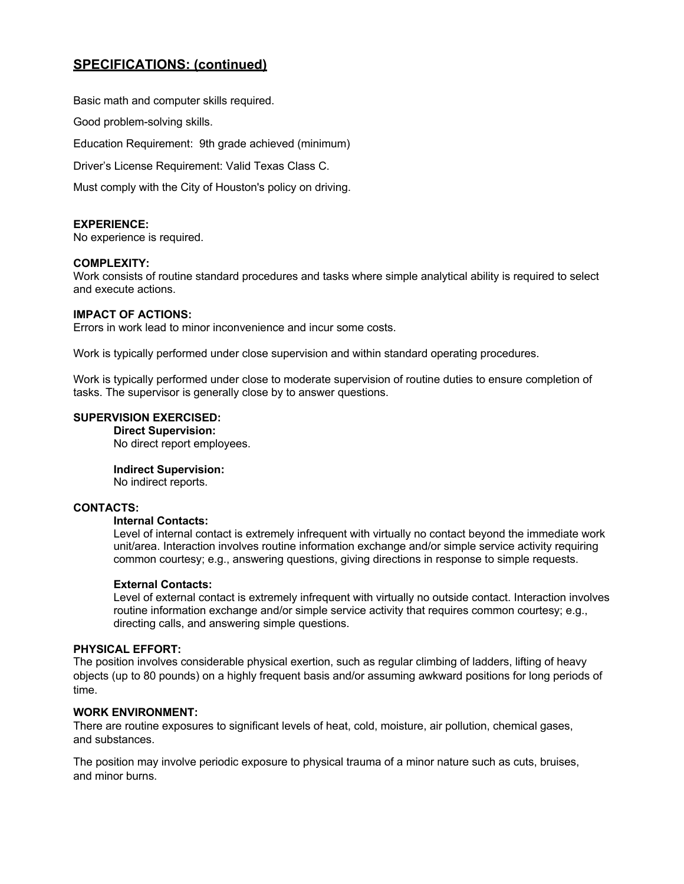# **SPECIFICATIONS: (continued)**

Basic math and computer skills required.

Good problem-solving skills.

Education Requirement: 9th grade achieved (minimum)

Driver's License Requirement: Valid Texas Class C.

Must comply with the City of Houston's policy on driving.

## **EXPERIENCE:**

No experience is required.

#### **COMPLEXITY:**

Work consists of routine standard procedures and tasks where simple analytical ability is required to select and execute actions.

#### **IMPACT OF ACTIONS:**

Errors in work lead to minor inconvenience and incur some costs.

Work is typically performed under close supervision and within standard operating procedures.

Work is typically performed under close to moderate supervision of routine duties to ensure completion of tasks. The supervisor is generally close by to answer questions.

## **SUPERVISION EXERCISED:**

**Direct Supervision:** No direct report employees.

#### **Indirect Supervision:**

No indirect reports.

#### **CONTACTS:**

## **Internal Contacts:**

Level of internal contact is extremely infrequent with virtually no contact beyond the immediate work unit/area. Interaction involves routine information exchange and/or simple service activity requiring common courtesy; e.g., answering questions, giving directions in response to simple requests.

#### **External Contacts:**

Level of external contact is extremely infrequent with virtually no outside contact. Interaction involves routine information exchange and/or simple service activity that requires common courtesy; e.g., directing calls, and answering simple questions.

#### **PHYSICAL EFFORT:**

The position involves considerable physical exertion, such as regular climbing of ladders, lifting of heavy objects (up to 80 pounds) on a highly frequent basis and/or assuming awkward positions for long periods of time.

## **WORK ENVIRONMENT:**

There are routine exposures to significant levels of heat, cold, moisture, air pollution, chemical gases, and substances.

The position may involve periodic exposure to physical trauma of a minor nature such as cuts, bruises, and minor burns.